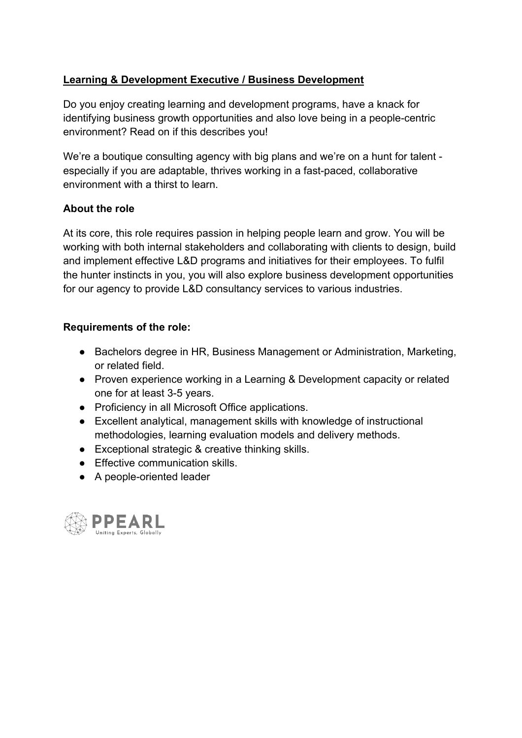## **Learning & Development Executive / Business Development**

Do you enjoy creating learning and development programs, have a knack for identifying business growth opportunities and also love being in a people-centric environment? Read on if this describes you!

We're a boutique consulting agency with big plans and we're on a hunt for talent especially if you are adaptable, thrives working in a fast-paced, collaborative environment with a thirst to learn.

## **About the role**

At its core, this role requires passion in helping people learn and grow. You will be working with both internal stakeholders and collaborating with clients to design, build and implement effective L&D programs and initiatives for their employees. To fulfil the hunter instincts in you, you will also explore business development opportunities for our agency to provide L&D consultancy services to various industries.

## **Requirements of the role:**

- Bachelors degree in HR, Business Management or Administration, Marketing, or related field.
- Proven experience working in a Learning & Development capacity or related one for at least 3-5 years.
- Proficiency in all Microsoft Office applications.
- Excellent analytical, management skills with knowledge of instructional methodologies, learning evaluation models and delivery methods.
- Exceptional strategic & creative thinking skills.
- Effective communication skills.
- A people-oriented leader